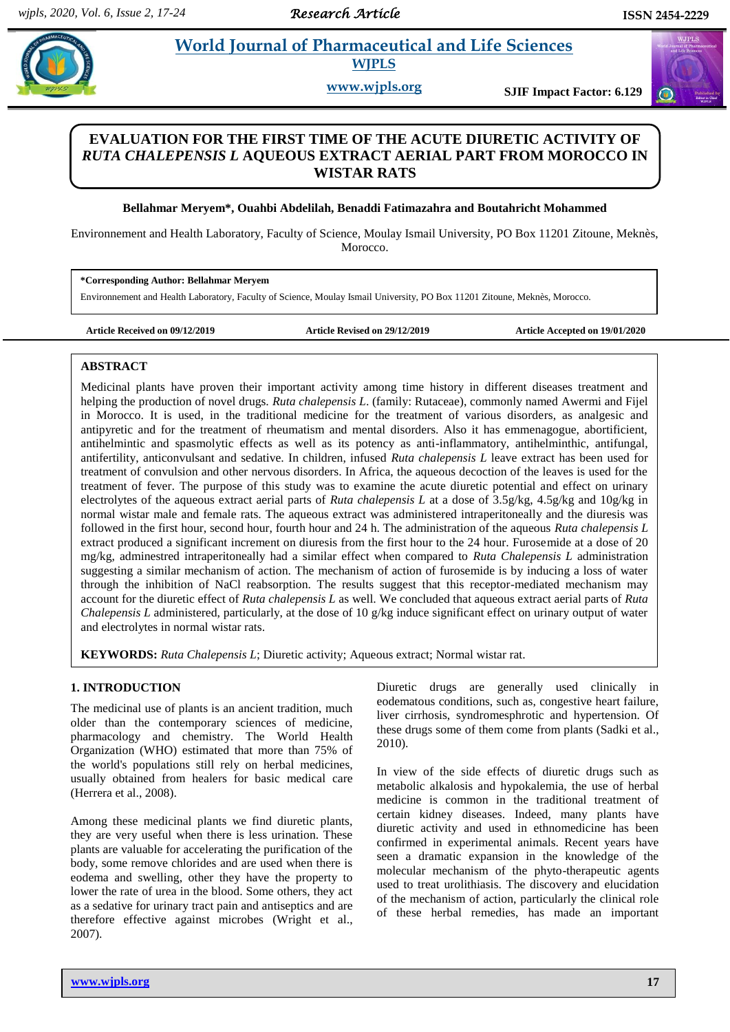$\mathbf{G}$ 

# **Parameter** *is**et**al. al. <b>Pharmaceutical and Life Sciences Pharmaceutical and Life Sciences* **WJPLS**

**www.wjpls.org SJIF Impact Factor: 6.129**

# **EVALUATION FOR THE FIRST TIME OF THE ACUTE DIURETIC ACTIVITY OF**  *RUTA CHALEPENSIS L* **AQUEOUS EXTRACT AERIAL PART FROM MOROCCO IN WISTAR RATS**

# **Bellahmar Meryem\*, Ouahbi Abdelilah, Benaddi Fatimazahra and Boutahricht Mohammed**

Environnement and Health Laboratory, Faculty of Science, Moulay Ismail University, PO Box 11201 Zitoune, Meknès, Morocco.

**\*Corresponding Author: Bellahmar Meryem**

Environnement and Health Laboratory, Faculty of Science, Moulay Ismail University, PO Box 11201 Zitoune, Meknès, Morocco.

**Article Received on 09/12/2019 Article Revised on 29/12/2019 Article Accepted on 19/01/2020**

# **ABSTRACT**

Medicinal plants have proven their important activity among time history in different diseases treatment and helping the production of novel drugs. *Ruta chalepensis L*. (family: Rutaceae), commonly named Awermi and Fijel in Morocco. It is used, in the traditional medicine for the treatment of various disorders, as analgesic and antipyretic and for the treatment of rheumatism and mental disorders. Also it has emmenagogue, abortificient, antihelmintic and spasmolytic effects as well as its potency as anti-inflammatory, antihelminthic, antifungal, antifertility, anticonvulsant and sedative. In children, infused *Ruta chalepensis L* leave extract has been used for treatment of convulsion and other nervous disorders. In Africa, the aqueous decoction of the leaves is used for the treatment of fever. The purpose of this study was to examine the acute diuretic potential and effect on urinary electrolytes of the aqueous extract aerial parts of *Ruta chalepensis L* at a dose of 3.5g/kg, 4.5g/kg and 10g/kg in normal wistar male and female rats. The aqueous extract was administered intraperitoneally and the diuresis was followed in the first hour, second hour, fourth hour and 24 h. The administration of the aqueous *Ruta chalepensis L* extract produced a significant increment on diuresis from the first hour to the 24 hour. Furosemide at a dose of 20 mg/kg, adminestred intraperitoneally had a similar effect when compared to *Ruta Chalepensis L* administration suggesting a similar mechanism of action. The mechanism of action of furosemide is by inducing a loss of water through the inhibition of NaCl reabsorption. The results suggest that this receptor-mediated mechanism may account for the diuretic effect of *Ruta chalepensis L* as well. We concluded that aqueous extract aerial parts of *Ruta Chalepensis L* administered, particularly, at the dose of 10 g/kg induce significant effect on urinary output of water and electrolytes in normal wistar rats.

**KEYWORDS:** *Ruta Chalepensis L*; Diuretic activity; Aqueous extract; Normal wistar rat.

# **1. INTRODUCTION**

The medicinal use of plants is an ancient tradition, much older than the contemporary sciences of medicine, pharmacology and chemistry. The World Health Organization (WHO) estimated that more than 75% of the world's populations still rely on herbal medicines, usually obtained from healers for basic medical care (Herrera et al., 2008).

Among these medicinal plants we find diuretic plants, they are very useful when there is less urination. These plants are valuable for accelerating the purification of the body, some remove chlorides and are used when there is eodema and swelling, other they have the property to lower the rate of urea in the blood. Some others, they act as a sedative for urinary tract pain and antiseptics and are therefore effective against microbes (Wright et al., 2007).

Diuretic drugs are generally used clinically in eodematous conditions, such as, congestive heart failure, liver cirrhosis, syndromesphrotic and hypertension. Of these drugs some of them come from plants (Sadki et al., 2010).

In view of the side effects of diuretic drugs such as metabolic alkalosis and hypokalemia, the use of herbal medicine is common in the traditional treatment of certain kidney diseases. Indeed, many plants have diuretic activity and used in ethnomedicine has been confirmed in experimental animals. Recent years have seen a dramatic expansion in the knowledge of the molecular mechanism of the phyto-therapeutic agents used to treat urolithiasis. The discovery and elucidation of the mechanism of action, particularly the clinical role of these herbal remedies, has made an important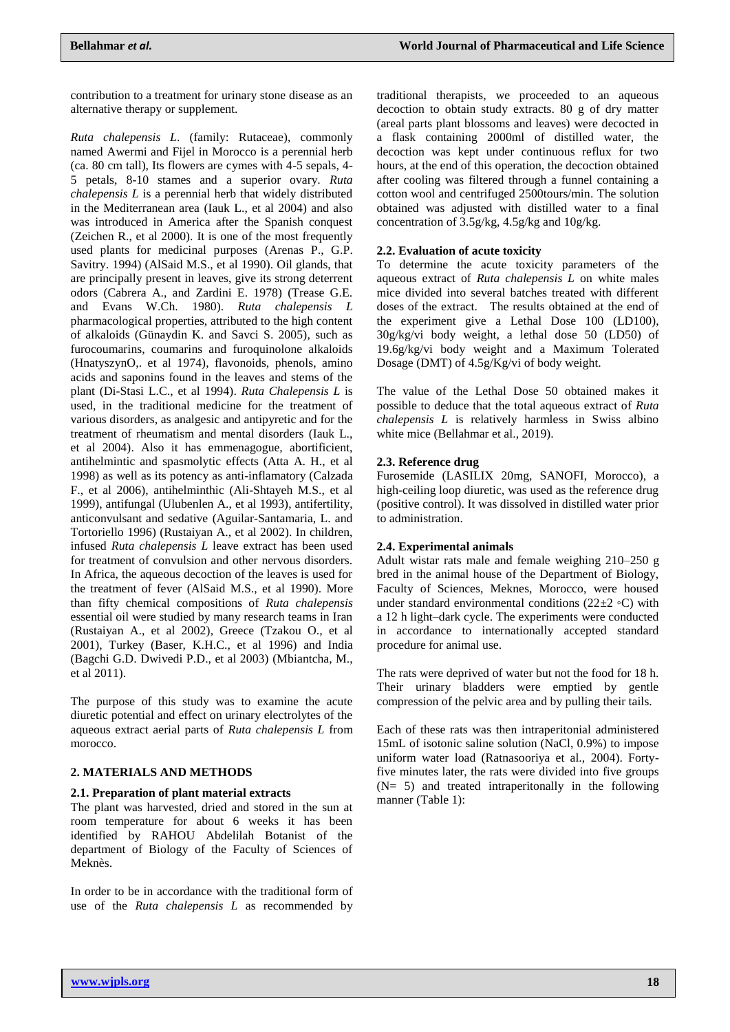contribution to a treatment for urinary stone disease as an alternative therapy or supplement.

*Ruta chalepensis L*. (family: Rutaceae), commonly named Awermi and Fijel in Morocco is a perennial herb (ca. 80 cm tall), Its flowers are cymes with 4-5 sepals, 4- 5 petals, 8-10 stames and a superior ovary. *Ruta chalepensis L* is a perennial herb that widely distributed in the Mediterranean area (Iauk L., et al 2004) and also was introduced in America after the Spanish conquest (Zeichen R., et al 2000). It is one of the most frequently used plants for medicinal purposes (Arenas P., G.P. Savitry. 1994) (AlSaid M.S., et al 1990). Oil glands, that are principally present in leaves, give its strong deterrent odors (Cabrera A., and Zardini E. 1978) (Trease G.E. and Evans W.Ch. 1980). *Ruta chalepensis L* pharmacological properties, attributed to the high content of alkaloids (Günaydin K. and Savci S. 2005), such as furocoumarins, coumarins and furoquinolone alkaloids (HnatyszynO,. et al 1974), flavonoids, phenols, amino acids and saponins found in the leaves and stems of the plant (Di-Stasi L.C., et al 1994). *Ruta Chalepensis L* is used, in the traditional medicine for the treatment of various disorders, as analgesic and antipyretic and for the treatment of rheumatism and mental disorders (Iauk L., et al 2004). Also it has emmenagogue, abortificient, antihelmintic and spasmolytic effects (Atta A. H., et al 1998) as well as its potency as anti-inflamatory (Calzada F., et al 2006), antihelminthic (Ali-Shtayeh M.S., et al 1999), antifungal (Ulubenlen A., et al 1993), antifertility, anticonvulsant and sedative (Aguilar-Santamaria, L. and Tortoriello 1996) (Rustaiyan A., et al 2002). In children, infused *Ruta chalepensis L* leave extract has been used for treatment of convulsion and other nervous disorders. In Africa, the aqueous decoction of the leaves is used for the treatment of fever (AlSaid M.S., et al 1990). More than fifty chemical compositions of *Ruta chalepensis* essential oil were studied by many research teams in Iran (Rustaiyan A., et al 2002), Greece (Tzakou O., et al 2001), Turkey (Baser, K.H.C., et al 1996) and India (Bagchi G.D. Dwivedi P.D., et al 2003) (Mbiantcha, M., et al 2011).

The purpose of this study was to examine the acute diuretic potential and effect on urinary electrolytes of the aqueous extract aerial parts of *Ruta chalepensis L* from morocco.

#### **2. MATERIALS AND METHODS**

#### **2.1. Preparation of plant material extracts**

The plant was harvested, dried and stored in the sun at room temperature for about 6 weeks it has been identified by RAHOU Abdelilah Botanist of the department of Biology of the Faculty of Sciences of Meknès.

In order to be in accordance with the traditional form of use of the *Ruta chalepensis L* as recommended by traditional therapists, we proceeded to an aqueous decoction to obtain study extracts. 80 g of dry matter (areal parts plant blossoms and leaves) were decocted in a flask containing 2000ml of distilled water, the decoction was kept under continuous reflux for two hours, at the end of this operation, the decoction obtained after cooling was filtered through a funnel containing a cotton wool and centrifuged 2500tours/min. The solution obtained was adjusted with distilled water to a final concentration of 3.5g/kg, 4.5g/kg and 10g/kg.

#### **2.2. Evaluation of acute toxicity**

To determine the acute toxicity parameters of the aqueous extract of *Ruta chalepensis L* on white males mice divided into several batches treated with different doses of the extract. The results obtained at the end of the experiment give a Lethal Dose 100 (LD100), 30g/kg/vi body weight, a lethal dose 50 (LD50) of 19.6g/kg/vi body weight and a Maximum Tolerated Dosage (DMT) of 4.5g/Kg/vi of body weight.

The value of the Lethal Dose 50 obtained makes it possible to deduce that the total aqueous extract of *Ruta chalepensis L* is relatively harmless in Swiss albino white mice (Bellahmar et al., 2019).

#### **2.3. Reference drug**

Furosemide (LASILIX 20mg, SANOFI, Morocco), a high-ceiling loop diuretic, was used as the reference drug (positive control). It was dissolved in distilled water prior to administration.

#### **2.4. Experimental animals**

Adult wistar rats male and female weighing 210–250 g bred in the animal house of the Department of Biology, Faculty of Sciences, Meknes, Morocco, were housed under standard environmental conditions (22 $\pm$ 2 ◦C) with a 12 h light–dark cycle. The experiments were conducted in accordance to internationally accepted standard procedure for animal use.

The rats were deprived of water but not the food for 18 h. Their urinary bladders were emptied by gentle compression of the pelvic area and by pulling their tails.

Each of these rats was then intraperitonial administered 15mL of isotonic saline solution (NaCl, 0.9%) to impose uniform water load (Ratnasooriya et al., 2004). Fortyfive minutes later, the rats were divided into five groups  $(N= 5)$  and treated intraperitonally in the following manner (Table 1):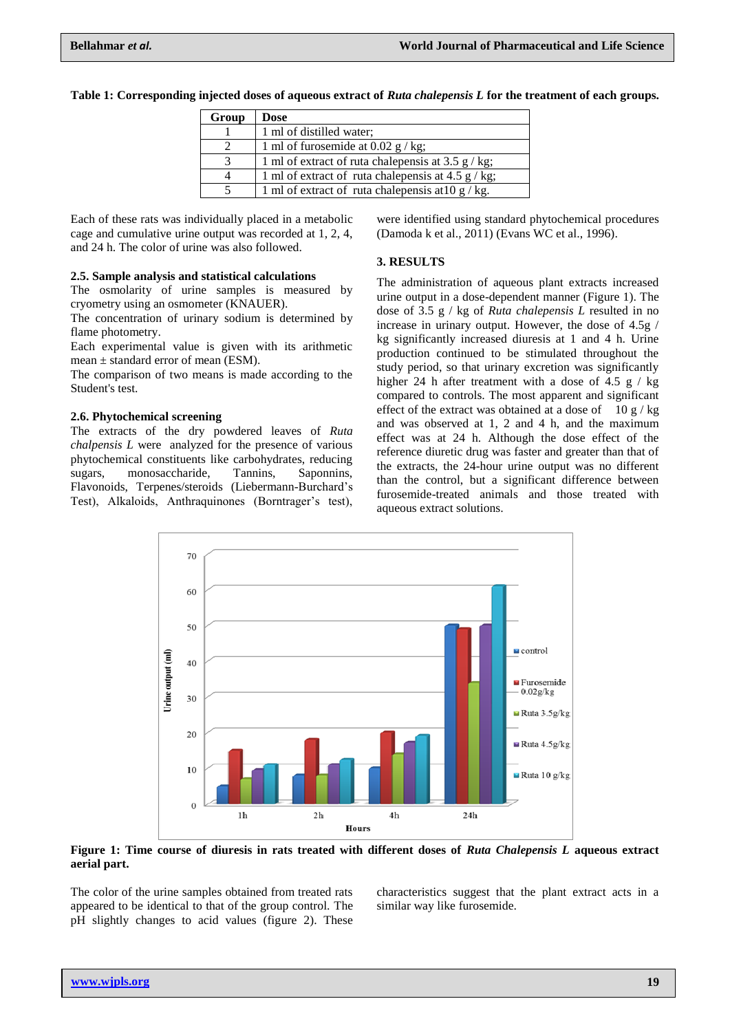| Group | Dose                                                       |
|-------|------------------------------------------------------------|
|       | 1 ml of distilled water;                                   |
|       | 1 ml of furosemide at 0.02 $g / kg$ ;                      |
|       | 1 ml of extract of ruta chalenensis at 3.5 $g / kg$ ;      |
|       | 1 ml of extract of ruta chalenensis at 4.5 $g / kg$ ;      |
|       | 1 ml of extract of ruta chalenensis at $10 \frac{g}{kg}$ . |

**Table 1: Corresponding injected doses of aqueous extract of** *Ruta chalepensis L* **for the treatment of each groups.**

Each of these rats was individually placed in a metabolic cage and cumulative urine output was recorded at 1, 2, 4, and 24 h. The color of urine was also followed.

#### **2.5. Sample analysis and statistical calculations**

The osmolarity of urine samples is measured by cryometry using an osmometer (KNAUER).

The concentration of urinary sodium is determined by flame photometry.

Each experimental value is given with its arithmetic mean  $\pm$  standard error of mean (ESM).

The comparison of two means is made according to the Student's test.

#### **2.6. Phytochemical screening**

The extracts of the dry powdered leaves of *Ruta chalpensis L* were analyzed for the presence of various phytochemical constituents like carbohydrates, reducing sugars, monosaccharide, Tannins, Saponnins, Flavonoids, Terpenes/steroids (Liebermann-Burchard's Test), Alkaloids, Anthraquinones (Borntrager's test),

were identified using standard phytochemical procedures (Damoda k et al., 2011) (Evans WC et al., 1996).

# **3. RESULTS**

The administration of aqueous plant extracts increased urine output in a dose-dependent manner (Figure 1). The dose of 3.5 g / kg of *Ruta chalepensis L* resulted in no increase in urinary output. However, the dose of 4.5g / kg significantly increased diuresis at 1 and 4 h. Urine production continued to be stimulated throughout the study period, so that urinary excretion was significantly higher 24 h after treatment with a dose of 4.5 g  $/$  kg compared to controls. The most apparent and significant effect of the extract was obtained at a dose of  $10 g / kg$ and was observed at 1, 2 and 4 h, and the maximum effect was at 24 h. Although the dose effect of the reference diuretic drug was faster and greater than that of the extracts, the 24-hour urine output was no different than the control, but a significant difference between furosemide-treated animals and those treated with aqueous extract solutions.



**Figure 1: Time course of diuresis in rats treated with different doses of** *Ruta Chalepensis L* **aqueous extract aerial part.**

The color of the urine samples obtained from treated rats appeared to be identical to that of the group control. The pH slightly changes to acid values (figure 2). These

characteristics suggest that the plant extract acts in a similar way like furosemide.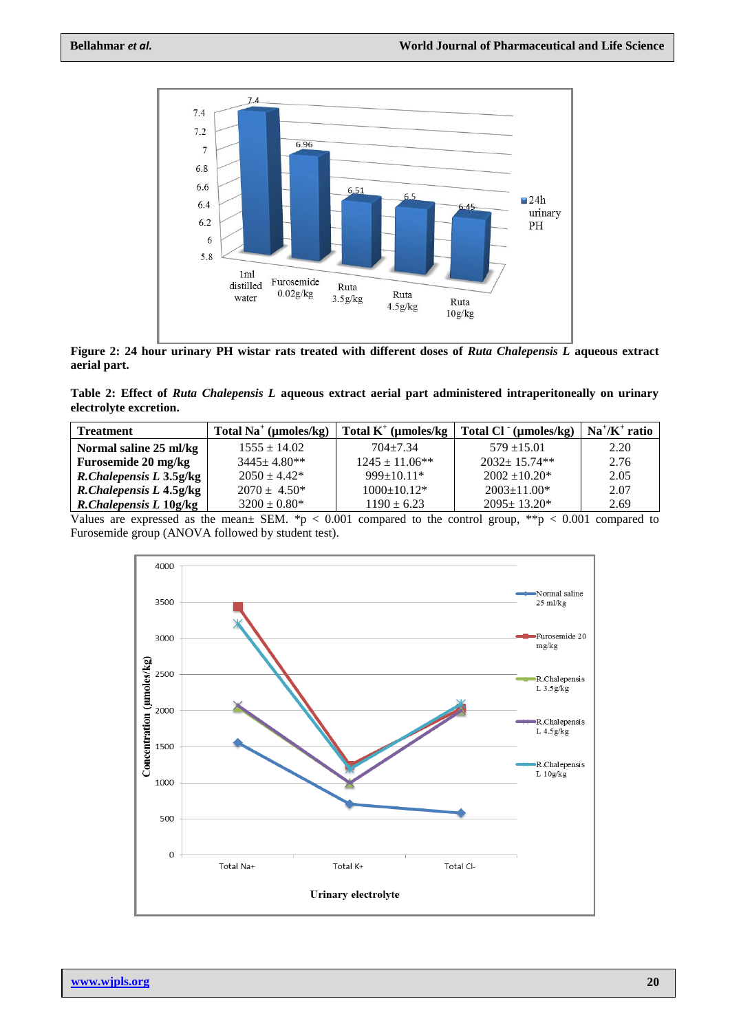

**Figure 2: 24 hour urinary PH wistar rats treated with different doses of** *Ruta Chalepensis L* **aqueous extract aerial part.**

**Table 2: Effect of** *Ruta Chalepensis L* **aqueous extract aerial part administered intraperitoneally on urinary electrolyte excretion.**

| <b>Treatment</b>        | Total Na <sup>+</sup> ( $\mu$ moles/kg) | Total $K^+$ (µmoles/kg | Total Cl (µmoles/kg) | $Na^{\dagger}/K^{\dagger}$ ratio |
|-------------------------|-----------------------------------------|------------------------|----------------------|----------------------------------|
| Normal saline 25 ml/kg  | $1555 \pm 14.02$                        | $704 + 7.34$           | $579 + 15.01$        | 2.20                             |
| Furosemide 20 mg/kg     | $3445 \pm 4.80$ **                      | $1245 \pm 11.06$ **    | $2032+15.74**$       | 2.76                             |
| R.Chalepensis L 3.5g/kg | $2050 + 4.42*$                          | $999 \pm 10.11*$       | $2002 \pm 10.20^*$   | 2.05                             |
| R.Chalepensis L 4.5g/kg | $2070 \pm 4.50^*$                       | $1000+10.12*$          | $2003 \pm 11.00*$    | 2.07                             |
| R.Chalepensis L 10g/kg  | $3200 \pm 0.80^*$                       | $1190 \pm 6.23$        | $2095 \pm 13.20^*$   | 2.69                             |

Values are expressed as the mean $\pm$  SEM. \*p < 0.001 compared to the control group, \*\*p < 0.001 compared to Furosemide group (ANOVA followed by student test).

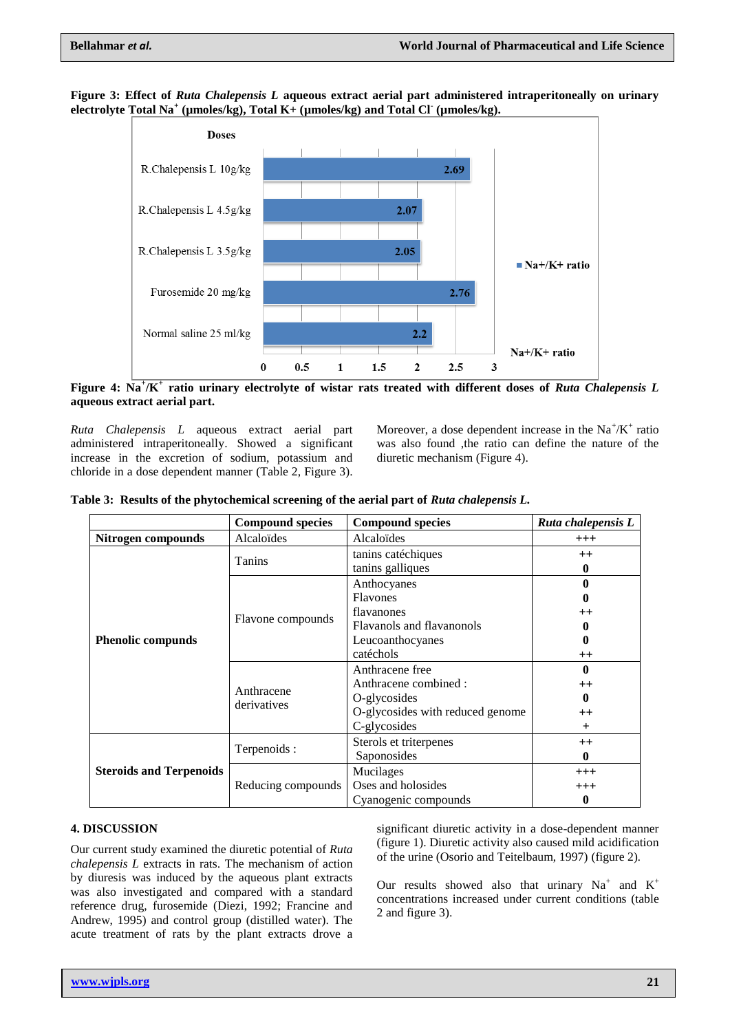



**Figure 4: Na<sup>+</sup> /K<sup>+</sup> ratio urinary electrolyte of wistar rats treated with different doses of** *Ruta Chalepensis L*  **aqueous extract aerial part.**

*Ruta Chalepensis L* aqueous extract aerial part administered intraperitoneally. Showed a significant increase in the excretion of sodium, potassium and chloride in a dose dependent manner (Table 2, Figure 3).

Moreover, a dose dependent increase in the  $Na^+/K^+$  ratio was also found ,the ratio can define the nature of the diuretic mechanism (Figure 4).

|  |  |  |  |  | Table 3: Results of the phytochemical screening of the aerial part of Ruta chalepensis L. |
|--|--|--|--|--|-------------------------------------------------------------------------------------------|
|--|--|--|--|--|-------------------------------------------------------------------------------------------|

|                                | <b>Compound species</b>   | <b>Compound species</b>                 | Ruta chalepensis L |
|--------------------------------|---------------------------|-----------------------------------------|--------------------|
| Nitrogen compounds             | Alcaloïdes                | Alcaloides                              | $^{+++}$           |
|                                | Tanins                    | tanins caté chiques<br>tanins galliques | $^{++}$<br>0       |
|                                | Flavone compounds         | Anthocyanes<br><b>Flavones</b>          |                    |
|                                |                           | flavanones                              | $^{++}$            |
|                                |                           | Flavanols and flavanonols               |                    |
| <b>Phenolic compunds</b>       |                           | Leucoanthocyanes                        | o                  |
|                                |                           | catéchols                               | $^{++}$            |
|                                | Anthracene<br>derivatives | Anthracene free                         | 0                  |
|                                |                           | Anthracene combined :                   | $^{++}$            |
|                                |                           | O-glycosides                            | 0                  |
|                                |                           | O-glycosides with reduced genome        | $^{++}$            |
|                                |                           | C-glycosides                            | $+$                |
|                                |                           | Sterols et triterpenes                  | $^{++}$            |
|                                | Terpenoids:               | Saponosides                             | 0                  |
| <b>Steroids and Terpenoids</b> | Reducing compounds        | Mucilages                               | $^{+++}$           |
|                                |                           | Oses and holosides                      | $^{+++}$           |
|                                |                           | Cyanogenic compounds                    | 0                  |

# **4. DISCUSSION**

Our current study examined the diuretic potential of *Ruta chalepensis L* extracts in rats. The mechanism of action by diuresis was induced by the aqueous plant extracts was also investigated and compared with a standard reference drug, furosemide (Diezi, 1992; Francine and Andrew, 1995) and control group (distilled water). The acute treatment of rats by the plant extracts drove a

significant diuretic activity in a dose-dependent manner (figure 1). Diuretic activity also caused mild acidification of the urine (Osorio and Teitelbaum, 1997) (figure 2)*.*

Our results showed also that urinary  $Na^+$  and  $K^+$ concentrations increased under current conditions (table 2 and figure 3).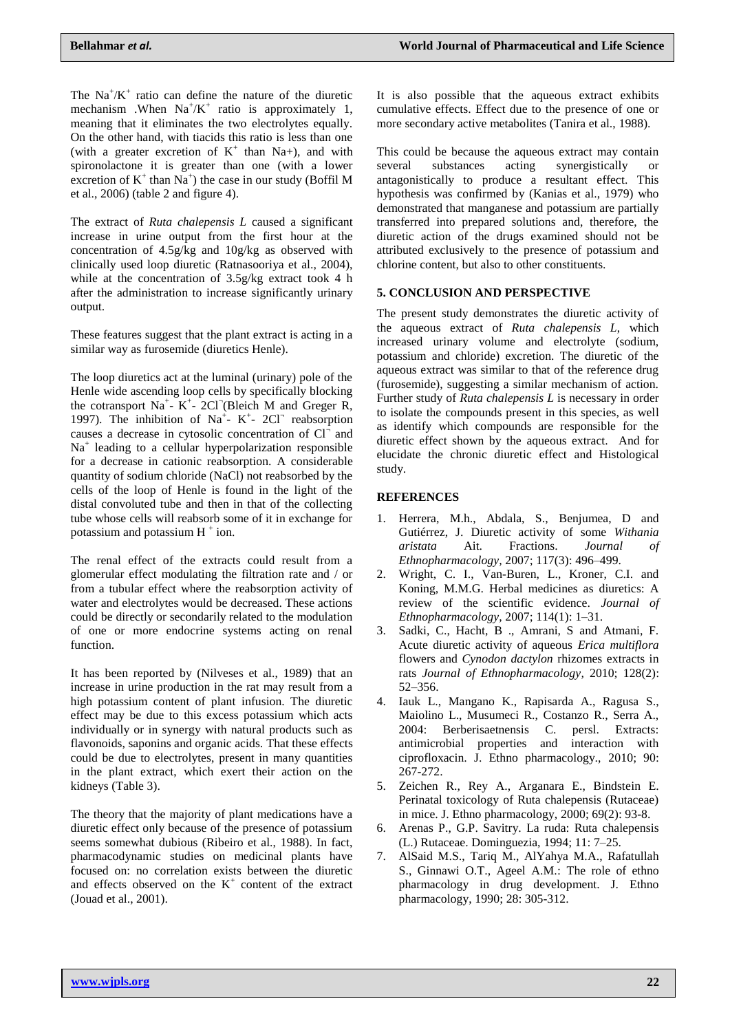The  $\text{Na}^{\dagger}/\text{K}^{\dagger}$  ratio can define the nature of the diuretic mechanism . When  $Na^{+}/K^{+}$  ratio is approximately 1, meaning that it eliminates the two electrolytes equally. On the other hand, with tiacids this ratio is less than one (with a greater excretion of  $K^+$  than Na+), and with spironolactone it is greater than one (with a lower excretion of  $K^+$  than  $Na^+$ ) the case in our study (Boffil M et al., 2006) (table 2 and figure 4).

The extract of *Ruta chalepensis L* caused a significant increase in urine output from the first hour at the concentration of 4.5g/kg and 10g/kg as observed with clinically used loop diuretic (Ratnasooriya et al., 2004), while at the concentration of 3.5g/kg extract took 4 h after the administration to increase significantly urinary output.

These features suggest that the plant extract is acting in a similar way as furosemide (diuretics Henle).

The loop diuretics act at the luminal (urinary) pole of the Henle wide ascending loop cells by specifically blocking the cotransport Na<sup>+</sup>-  $K^+$ - 2Cl<sup>-</sup>(Bleich M and Greger R, 1997). The inhibition of Na<sup>+</sup>- K<sup>+</sup>- 2Cl<sup>-</sup> reabsorption causes a decrease in cytosolic concentration of  $Cl<sup>^{\dagger}</sup>$ </sup> and Na<sup>+</sup> leading to a cellular hyperpolarization responsible for a decrease in cationic reabsorption. A considerable quantity of sodium chloride (NaCl) not reabsorbed by the cells of the loop of Henle is found in the light of the distal convoluted tube and then in that of the collecting tube whose cells will reabsorb some of it in exchange for potassium and potassium  $H^+$  ion.

The renal effect of the extracts could result from a glomerular effect modulating the filtration rate and / or from a tubular effect where the reabsorption activity of water and electrolytes would be decreased. These actions could be directly or secondarily related to the modulation of one or more endocrine systems acting on renal function.

It has been reported by (Nilveses et al., 1989) that an increase in urine production in the rat may result from a high potassium content of plant infusion. The diuretic effect may be due to this excess potassium which acts individually or in synergy with natural products such as flavonoids, saponins and organic acids. That these effects could be due to electrolytes, present in many quantities in the plant extract, which exert their action on the kidneys (Table 3).

The theory that the majority of plant medications have a diuretic effect only because of the presence of potassium seems somewhat dubious (Ribeiro et al., 1988). In fact, pharmacodynamic studies on medicinal plants have focused on: no correlation exists between the diuretic and effects observed on the  $K^+$  content of the extract (Jouad et al., 2001).

It is also possible that the aqueous extract exhibits cumulative effects. Effect due to the presence of one or more secondary active metabolites (Tanira et al., 1988).

This could be because the aqueous extract may contain several substances acting synergistically or antagonistically to produce a resultant effect. This hypothesis was confirmed by (Kanias et al., 1979) who demonstrated that manganese and potassium are partially transferred into prepared solutions and, therefore, the diuretic action of the drugs examined should not be attributed exclusively to the presence of potassium and chlorine content, but also to other constituents.

# **5. CONCLUSION AND PERSPECTIVE**

The present study demonstrates the diuretic activity of the aqueous extract of *Ruta chalepensis L*, which increased urinary volume and electrolyte (sodium, potassium and chloride) excretion. The diuretic of the aqueous extract was similar to that of the reference drug (furosemide), suggesting a similar mechanism of action. Further study of *Ruta chalepensis L* is necessary in order to isolate the compounds present in this species, as well as identify which compounds are responsible for the diuretic effect shown by the aqueous extract. And for elucidate the chronic diuretic effect and Histological study.

# **REFERENCES**

- 1. Herrera, M.h., Abdala, S., Benjumea, D and Gutiérrez, J. Diuretic activity of some *Withania aristata* Ait. Fractions. *Journal of Ethnopharmacology,* 2007; 117(3): 496–499.
- 2. Wright, C. I., Van-Buren, L., Kroner, C.I. and Koning, M.M.G. Herbal medicines as diuretics: A review of the scientific evidence. *Journal of Ethnopharmacology,* 2007; 114(1): 1–31.
- 3. Sadki, C., Hacht, B ., Amrani, S and Atmani, F. Acute diuretic activity of aqueous *Erica multiflora*  flowers and *Cynodon dactylon* rhizomes extracts in rats *Journal of Ethnopharmacology,* 2010; 128(2): 52–356.
- 4. Iauk L., Mangano K., Rapisarda A., Ragusa S., Maiolino L., Musumeci R., Costanzo R., Serra A., 2004: Berberisaetnensis C. persl. Extracts: antimicrobial properties and interaction with ciprofloxacin. J. Ethno pharmacology., 2010; 90: 267-272.
- 5. Zeichen R., Rey A., Arganara E., Bindstein E. Perinatal toxicology of Ruta chalepensis (Rutaceae) in mice. J. Ethno pharmacology, 2000; 69(2): 93-8.
- 6. Arenas P., G.P. Savitry. La ruda: Ruta chalepensis (L.) Rutaceae. Dominguezia, 1994; 11: 7–25.
- 7. AlSaid M.S., Tariq M., AlYahya M.A., Rafatullah S., Ginnawi O.T., Ageel A.M.: The role of ethno pharmacology in drug development. J. Ethno pharmacology, 1990; 28: 305-312.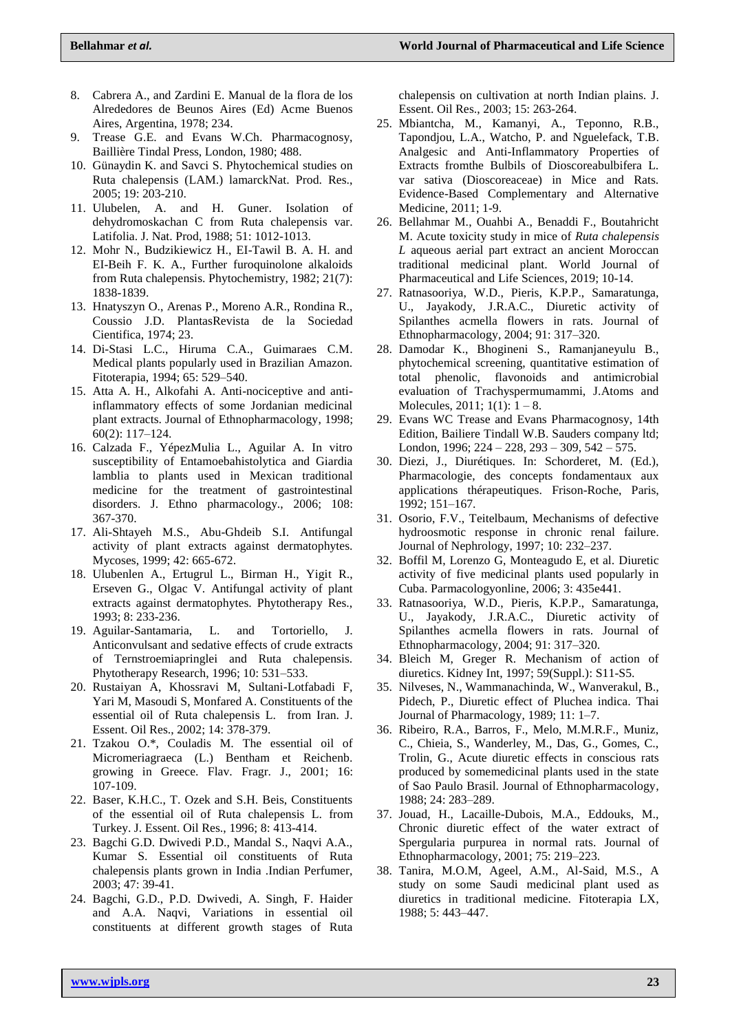- 8. Cabrera A., and Zardini E. Manual de la flora de los Alrededores de Beunos Aires (Ed) Acme Buenos Aires, Argentina, 1978; 234.
- 9. Trease G.E. and Evans W.Ch. Pharmacognosy, Baillière Tindal Press, London, 1980; 488.
- 10. Günaydin K. and Savci S. Phytochemical studies on Ruta chalepensis (LAM.) lamarckNat. Prod. Res., 2005; 19: 203-210.
- 11. Ulubelen, A. and H. Guner. Isolation of dehydromoskachan C from Ruta chalepensis var. Latifolia. J. Nat. Prod, 1988; 51: 1012-1013.
- 12. Mohr N., Budzikiewicz H., EI-Tawil B. A. H. and EI-Beih F. K. A., Further furoquinolone alkaloids from Ruta chalepensis. Phytochemistry, 1982; 21(7): 1838-1839.
- 13. Hnatyszyn O., Arenas P., Moreno A.R., Rondina R., Coussio J.D. PlantasRevista de la Sociedad Cientifica, 1974; 23.
- 14. Di-Stasi L.C., Hiruma C.A., Guimaraes C.M. Medical plants popularly used in Brazilian Amazon. Fitoterapia, 1994; 65: 529–540.
- 15. Atta A. H., Alkofahi A. Anti-nociceptive and antiinflammatory effects of some Jordanian medicinal plant extracts. Journal of Ethnopharmacology, 1998; 60(2): 117–124.
- 16. Calzada F., YépezMulia L., Aguilar A. In vitro susceptibility of Entamoebahistolytica and Giardia lamblia to plants used in Mexican traditional medicine for the treatment of gastrointestinal disorders. J. Ethno pharmacology., 2006; 108: 367-370.
- 17. Ali-Shtayeh M.S., Abu-Ghdeib S.I. Antifungal activity of plant extracts against dermatophytes. Mycoses, 1999; 42: 665-672.
- 18. Ulubenlen A., Ertugrul L., Birman H., Yigit R., Erseven G., Olgac V. Antifungal activity of plant extracts against dermatophytes. Phytotherapy Res., 1993; 8: 233-236.
- 19. Aguilar-Santamaria, L. and Tortoriello, J. Anticonvulsant and sedative effects of crude extracts of Ternstroemiapringlei and Ruta chalepensis. Phytotherapy Research, 1996; 10: 531–533.
- 20. Rustaiyan A, Khossravi M, Sultani-Lotfabadi F, Yari M, Masoudi S, Monfared A. Constituents of the essential oil of Ruta chalepensis L. from Iran. J. Essent. Oil Res., 2002; 14: 378-379.
- 21. Tzakou O.\*, Couladis M. The essential oil of Micromeriagraeca (L.) Bentham et Reichenb. growing in Greece. Flav. Fragr. J., 2001; 16: 107-109.
- 22. Baser, K.H.C., T. Ozek and S.H. Beis, Constituents of the essential oil of Ruta chalepensis L. from Turkey. J. Essent. Oil Res., 1996; 8: 413-414.
- 23. Bagchi G.D. Dwivedi P.D., Mandal S., Naqvi A.A., Kumar S. Essential oil constituents of Ruta chalepensis plants grown in India .Indian Perfumer, 2003; 47: 39-41.
- 24. Bagchi, G.D., P.D. Dwivedi, A. Singh, F. Haider and A.A. Naqvi, Variations in essential oil constituents at different growth stages of Ruta

chalepensis on cultivation at north Indian plains. J. Essent. Oil Res., 2003; 15: 263-264.

- 25. Mbiantcha, M., Kamanyi, A., Teponno, R.B., Tapondjou, L.A., Watcho, P. and Nguelefack, T.B. Analgesic and Anti-Inflammatory Properties of Extracts fromthe Bulbils of Dioscoreabulbifera L. var sativa (Dioscoreaceae) in Mice and Rats. Evidence-Based Complementary and Alternative Medicine, 2011; 1-9.
- 26. Bellahmar M., Ouahbi A., Benaddi F., Boutahricht M. Acute toxicity study in mice of *Ruta chalepensis L* aqueous aerial part extract an ancient Moroccan traditional medicinal plant. World Journal of Pharmaceutical and Life Sciences, 2019; 10-14.
- 27. Ratnasooriya, W.D., Pieris, K.P.P., Samaratunga, U., Jayakody, J.R.A.C., Diuretic activity of Spilanthes acmella flowers in rats. Journal of Ethnopharmacology, 2004; 91: 317–320.
- 28. Damodar K., Bhogineni S., Ramanjaneyulu B., phytochemical screening, quantitative estimation of total phenolic, flavonoids and antimicrobial evaluation of Trachyspermumammi, J.Atoms and Molecules,  $2011$ ;  $1(1)$ :  $1-8$ .
- 29. Evans WC Trease and Evans Pharmacognosy, 14th Edition, Bailiere Tindall W.B. Sauders company ltd; London, 1996; 224 – 228, 293 – 309, 542 – 575.
- 30. Diezi, J., Diurétiques. In: Schorderet, M. (Ed.), Pharmacologie, des concepts fondamentaux aux applications thérapeutiques. Frison-Roche, Paris, 1992; 151–167.
- 31. Osorio, F.V., Teitelbaum, Mechanisms of defective hydroosmotic response in chronic renal failure. Journal of Nephrology, 1997; 10: 232–237.
- 32. Boffil M, Lorenzo G, Monteagudo E, et al. Diuretic activity of five medicinal plants used popularly in Cuba. Parmacologyonline, 2006; 3: 435e441.
- 33. Ratnasooriya, W.D., Pieris, K.P.P., Samaratunga, U., Jayakody, J.R.A.C., Diuretic activity of Spilanthes acmella flowers in rats. Journal of Ethnopharmacology, 2004; 91: 317–320.
- 34. Bleich M, Greger R. Mechanism of action of diuretics. Kidney Int, 1997; 59(Suppl.): S11-S5.
- 35. Nilveses, N., Wammanachinda, W., Wanverakul, B., Pidech, P., Diuretic effect of Pluchea indica. Thai Journal of Pharmacology, 1989; 11: 1–7.
- 36. Ribeiro, R.A., Barros, F., Melo, M.M.R.F., Muniz, C., Chieia, S., Wanderley, M., Das, G., Gomes, C., Trolin, G., Acute diuretic effects in conscious rats produced by somemedicinal plants used in the state of Sao Paulo Brasil. Journal of Ethnopharmacology, 1988; 24: 283–289.
- 37. Jouad, H., Lacaille-Dubois, M.A., Eddouks, M., Chronic diuretic effect of the water extract of Spergularia purpurea in normal rats. Journal of Ethnopharmacology, 2001; 75: 219–223.
- 38. Tanira, M.O.M, Ageel, A.M., Al-Said, M.S., A study on some Saudi medicinal plant used as diuretics in traditional medicine. Fitoterapia LX, 1988; 5: 443–447.